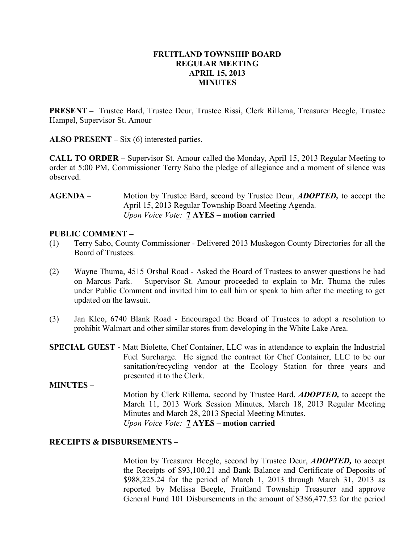### FRUITLAND TOWNSHIP BOARD REGULAR MEETING APRIL 15, 2013 MINUTES

PRESENT – Trustee Bard, Trustee Deur, Trustee Rissi, Clerk Rillema, Treasurer Beegle, Trustee Hampel, Supervisor St. Amour

ALSO PRESENT – Six (6) interested parties.

CALL TO ORDER – Supervisor St. Amour called the Monday, April 15, 2013 Regular Meeting to order at 5:00 PM, Commissioner Terry Sabo the pledge of allegiance and a moment of silence was observed.

AGENDA – Motion by Trustee Bard, second by Trustee Deur, *ADOPTED*, to accept the April 15, 2013 Regular Township Board Meeting Agenda. Upon Voice Vote: **7 AYES** – motion carried

### PUBLIC COMMENT –

- (1) Terry Sabo, County Commissioner Delivered 2013 Muskegon County Directories for all the Board of Trustees.
- (2) Wayne Thuma, 4515 Orshal Road Asked the Board of Trustees to answer questions he had on Marcus Park. Supervisor St. Amour proceeded to explain to Mr. Thuma the rules under Public Comment and invited him to call him or speak to him after the meeting to get updated on the lawsuit.
- (3) Jan Klco, 6740 Blank Road Encouraged the Board of Trustees to adopt a resolution to prohibit Walmart and other similar stores from developing in the White Lake Area.
- SPECIAL GUEST Matt Biolette, Chef Container, LLC was in attendance to explain the Industrial Fuel Surcharge. He signed the contract for Chef Container, LLC to be our sanitation/recycling vendor at the Ecology Station for three years and presented it to the Clerk.
- MINUTES Motion by Clerk Rillema, second by Trustee Bard, ADOPTED, to accept the March 11, 2013 Work Session Minutes, March 18, 2013 Regular Meeting Minutes and March 28, 2013 Special Meeting Minutes. Upon Voice Vote: 7 AYES – motion carried

#### RECEIPTS & DISBURSEMENTS –

Motion by Treasurer Beegle, second by Trustee Deur, **ADOPTED**, to accept the Receipts of \$93,100.21 and Bank Balance and Certificate of Deposits of \$988,225.24 for the period of March 1, 2013 through March 31, 2013 as reported by Melissa Beegle, Fruitland Township Treasurer and approve General Fund 101 Disbursements in the amount of \$386,477.52 for the period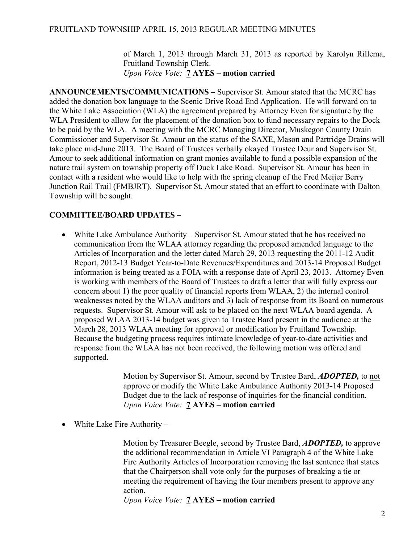of March 1, 2013 through March 31, 2013 as reported by Karolyn Rillema, Fruitland Township Clerk. Upon Voice Vote: 7 AYES – motion carried

ANNOUNCEMENTS/COMMUNICATIONS – Supervisor St. Amour stated that the MCRC has added the donation box language to the Scenic Drive Road End Application. He will forward on to the White Lake Association (WLA) the agreement prepared by Attorney Even for signature by the WLA President to allow for the placement of the donation box to fund necessary repairs to the Dock to be paid by the WLA. A meeting with the MCRC Managing Director, Muskegon County Drain Commissioner and Supervisor St. Amour on the status of the SAXE, Mason and Partridge Drains will take place mid-June 2013. The Board of Trustees verbally okayed Trustee Deur and Supervisor St. Amour to seek additional information on grant monies available to fund a possible expansion of the nature trail system on township property off Duck Lake Road. Supervisor St. Amour has been in contact with a resident who would like to help with the spring cleanup of the Fred Meijer Berry Junction Rail Trail (FMBJRT). Supervisor St. Amour stated that an effort to coordinate with Dalton Township will be sought.

# COMMITTEE/BOARD UPDATES –

• White Lake Ambulance Authority – Supervisor St. Amour stated that he has received no communication from the WLAA attorney regarding the proposed amended language to the Articles of Incorporation and the letter dated March 29, 2013 requesting the 2011-12 Audit Report, 2012-13 Budget Year-to-Date Revenues/Expenditures and 2013-14 Proposed Budget information is being treated as a FOIA with a response date of April 23, 2013. Attorney Even is working with members of the Board of Trustees to draft a letter that will fully express our concern about 1) the poor quality of financial reports from WLAA, 2) the internal control weaknesses noted by the WLAA auditors and 3) lack of response from its Board on numerous requests. Supervisor St. Amour will ask to be placed on the next WLAA board agenda. A proposed WLAA 2013-14 budget was given to Trustee Bard present in the audience at the March 28, 2013 WLAA meeting for approval or modification by Fruitland Township. Because the budgeting process requires intimate knowledge of year-to-date activities and response from the WLAA has not been received, the following motion was offered and supported.

> Motion by Supervisor St. Amour, second by Trustee Bard, ADOPTED, to not approve or modify the White Lake Ambulance Authority 2013-14 Proposed Budget due to the lack of response of inquiries for the financial condition. Upon Voice Vote: 7 AYES – motion carried

• White Lake Fire Authority –

 Motion by Treasurer Beegle, second by Trustee Bard, ADOPTED, to approve the additional recommendation in Article VI Paragraph 4 of the White Lake Fire Authority Articles of Incorporation removing the last sentence that states that the Chairperson shall vote only for the purposes of breaking a tie or meeting the requirement of having the four members present to approve any action.

Upon Voice Vote: 7 AYES – motion carried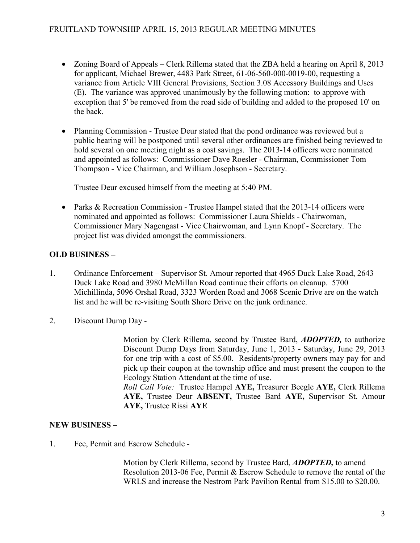## FRUITLAND TOWNSHIP APRIL 15, 2013 REGULAR MEETING MINUTES

- Zoning Board of Appeals Clerk Rillema stated that the ZBA held a hearing on April 8, 2013 for applicant, Michael Brewer, 4483 Park Street, 61-06-560-000-0019-00, requesting a variance from Article VIII General Provisions, Section 3.08 Accessory Buildings and Uses (E). The variance was approved unanimously by the following motion: to approve with exception that 5' be removed from the road side of building and added to the proposed 10' on the back.
- Planning Commission Trustee Deur stated that the pond ordinance was reviewed but a public hearing will be postponed until several other ordinances are finished being reviewed to hold several on one meeting night as a cost savings. The 2013-14 officers were nominated and appointed as follows: Commissioner Dave Roesler - Chairman, Commissioner Tom Thompson - Vice Chairman, and William Josephson - Secretary.

Trustee Deur excused himself from the meeting at 5:40 PM.

• Parks & Recreation Commission - Trustee Hampel stated that the 2013-14 officers were nominated and appointed as follows: Commissioner Laura Shields - Chairwoman, Commissioner Mary Nagengast - Vice Chairwoman, and Lynn Knopf - Secretary. The project list was divided amongst the commissioners.

# OLD BUSINESS –

- 1. Ordinance Enforcement Supervisor St. Amour reported that 4965 Duck Lake Road, 2643 Duck Lake Road and 3980 McMillan Road continue their efforts on cleanup. 5700 Michillinda, 5096 Orshal Road, 3323 Worden Road and 3068 Scenic Drive are on the watch list and he will be re-visiting South Shore Drive on the junk ordinance.
- 2. Discount Dump Day -

Motion by Clerk Rillema, second by Trustee Bard, ADOPTED, to authorize Discount Dump Days from Saturday, June 1, 2013 - Saturday, June 29, 2013 for one trip with a cost of \$5.00. Residents/property owners may pay for and pick up their coupon at the township office and must present the coupon to the Ecology Station Attendant at the time of use.

Roll Call Vote: Trustee Hampel AYE, Treasurer Beegle AYE, Clerk Rillema AYE, Trustee Deur ABSENT, Trustee Bard AYE, Supervisor St. Amour AYE, Trustee Rissi AYE

### NEW BUSINESS –

1. Fee, Permit and Escrow Schedule -

Motion by Clerk Rillema, second by Trustee Bard, **ADOPTED**, to amend Resolution 2013-06 Fee, Permit & Escrow Schedule to remove the rental of the WRLS and increase the Nestrom Park Pavilion Rental from \$15.00 to \$20.00.